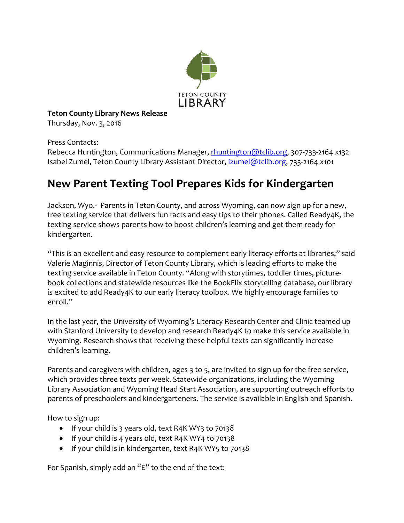

**Teton County Library News Release**

Thursday, Nov. 3, 2016

Press Contacts:

Rebecca Huntington, Communications Manager, [rhuntington@tclib.org,](mailto:rhuntington@tclib.org) 307-733-2164 x132 Isabel Zumel, Teton County Library Assistant Director, [izumel@tclib.org,](mailto:izumel@tclib.org) 733-2164 x101

## **New Parent Texting Tool Prepares Kids for Kindergarten**

Jackson, Wyo.- Parents in Teton County, and across Wyoming, can now sign up for a new, free texting service that delivers fun facts and easy tips to their phones. Called Ready4K, the texting service shows parents how to boost children's learning and get them ready for kindergarten.

"This is an excellent and easy resource to complement early literacy efforts at libraries," said Valerie Maginnis, Director of Teton County Library, which is leading efforts to make the texting service available in Teton County. "Along with storytimes, toddler times, picturebook collections and statewide resources like the BookFlix storytelling database, our library is excited to add Ready4K to our early literacy toolbox. We highly encourage families to enroll."

In the last year, the University of Wyoming's Literacy Research Center and Clinic teamed up with Stanford University to develop and research Ready4K to make this service available in Wyoming. Research shows that receiving these helpful texts can significantly increase children's learning.

Parents and caregivers with children, ages 3 to 5, are invited to sign up for the free service, which provides three texts per week. Statewide organizations, including the Wyoming Library Association and Wyoming Head Start Association, are supporting outreach efforts to parents of preschoolers and kindergarteners. The service is available in English and Spanish.

How to sign up:

- If your child is 3 years old, text R4K WY3 to 70138
- If your child is 4 years old, text R4K WY4 to 70138
- If your child is in kindergarten, text R4K WY5 to 70138

For Spanish, simply add an "E" to the end of the text: